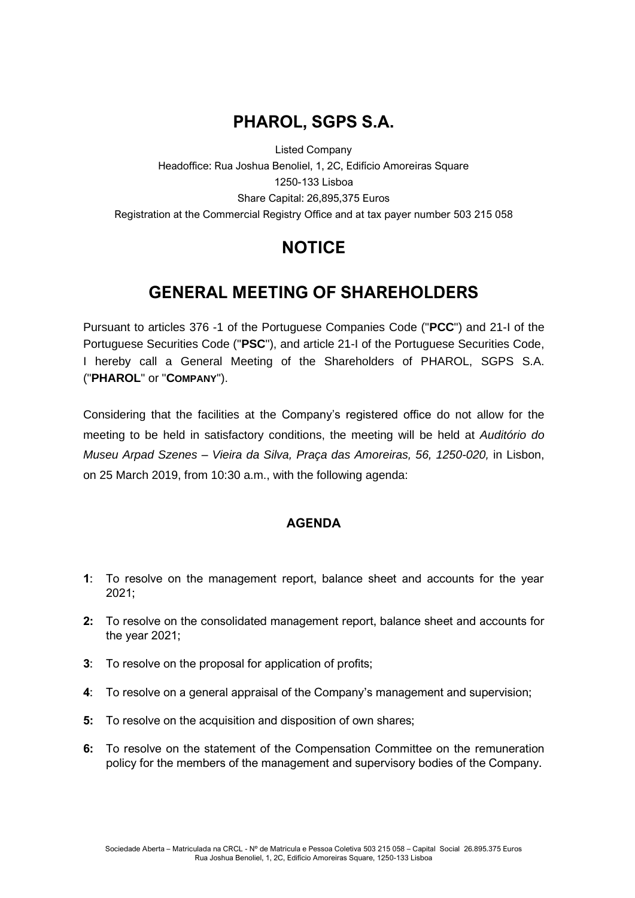## **PHAROL, SGPS S.A.**

Listed Company Headoffice: Rua Joshua Benoliel, 1, 2C, Edifício Amoreiras Square 1250-133 Lisboa Share Capital: 26,895,375 Euros Registration at the Commercial Registry Office and at tax payer number 503 215 058

# **NOTICE**

## **GENERAL MEETING OF SHAREHOLDERS**

Pursuant to articles 376 -1 of the Portuguese Companies Code ("**PCC**") and 21-I of the Portuguese Securities Code ("**PSC**"), and article 21-I of the Portuguese Securities Code, I hereby call a General Meeting of the Shareholders of PHAROL, SGPS S.A. ("**PHAROL**" or "**COMPANY**").

Considering that the facilities at the Company's registered office do not allow for the meeting to be held in satisfactory conditions, the meeting will be held at *Auditório do Museu Arpad Szenes – Vieira da Silva, Praça das Amoreiras, 56, 1250-020,* in Lisbon, on 25 March 2019, from 10:30 a.m., with the following agenda:

#### **AGENDA**

- **1**: To resolve on the management report, balance sheet and accounts for the year 2021;
- **2:** To resolve on the consolidated management report, balance sheet and accounts for the year 2021;
- **3**: To resolve on the proposal for application of profits;
- **4**: To resolve on a general appraisal of the Company's management and supervision;
- **5:** To resolve on the acquisition and disposition of own shares;
- **6:** To resolve on the statement of the Compensation Committee on the remuneration policy for the members of the management and supervisory bodies of the Company.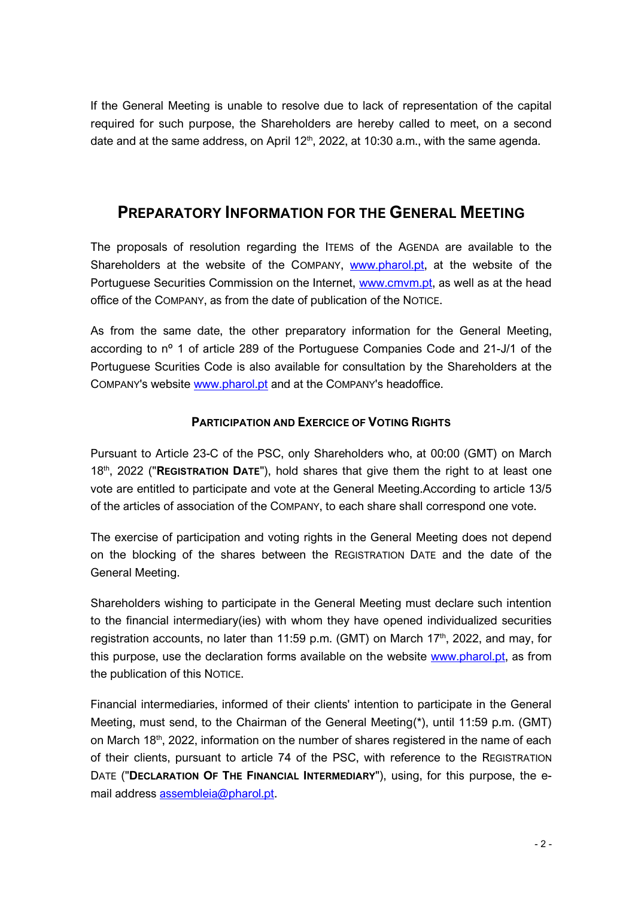If the General Meeting is unable to resolve due to lack of representation of the capital required for such purpose, the Shareholders are hereby called to meet, on a second date and at the same address, on April  $12<sup>th</sup>$ , 2022, at 10:30 a.m., with the same agenda.

### **PREPARATORY INFORMATION FOR THE GENERAL MEETING**

The proposals of resolution regarding the ITEMS of the AGENDA are available to the Shareholders at the website of the COMPANY, [www.pharol.pt,](http://www.pharol.pt/) at the website of the Portuguese Securities Commission on the Internet, [www.cmvm.pt,](http://www.cmvm.pt/) as well as at the head office of the COMPANY, as from the date of publication of the NOTICE.

As from the same date, the other preparatory information for the General Meeting, according to nº 1 of article 289 of the Portuguese Companies Code and 21-J/1 of the Portuguese Scurities Code is also available for consultation by the Shareholders at the COMPANY's website [www.pharol.pt](http://www.pharol.pt/) and at the COMPANY's headoffice.

#### **PARTICIPATION AND EXERCICE OF VOTING RIGHTS**

Pursuant to Article 23-C of the PSC, only Shareholders who, at 00:00 (GMT) on March 18th, 2022 ("**REGISTRATION DATE**"), hold shares that give them the right to at least one vote are entitled to participate and vote at the General Meeting.According to article 13/5 of the articles of association of the COMPANY, to each share shall correspond one vote.

The exercise of participation and voting rights in the General Meeting does not depend on the blocking of the shares between the REGISTRATION DATE and the date of the General Meeting.

Shareholders wishing to participate in the General Meeting must declare such intention to the financial intermediary(ies) with whom they have opened individualized securities registration accounts, no later than 11:59 p.m. (GMT) on March 17<sup>th</sup>, 2022, and may, for this purpose, use the declaration forms available on the website [www.pharol.pt,](http://www.pharol.pt/) as from the publication of this NOTICE.

Financial intermediaries, informed of their clients' intention to participate in the General Meeting, must send, to the Chairman of the General Meeting(\*), until 11:59 p.m. (GMT) on March 18<sup>th</sup>, 2022, information on the number of shares registered in the name of each of their clients, pursuant to article 74 of the PSC, with reference to the REGISTRATION DATE ("**DECLARATION OF THE FINANCIAL INTERMEDIARY**"), using, for this purpose, the email address [assembleia@pharol.pt.](mailto:assembleia@pharol.pt)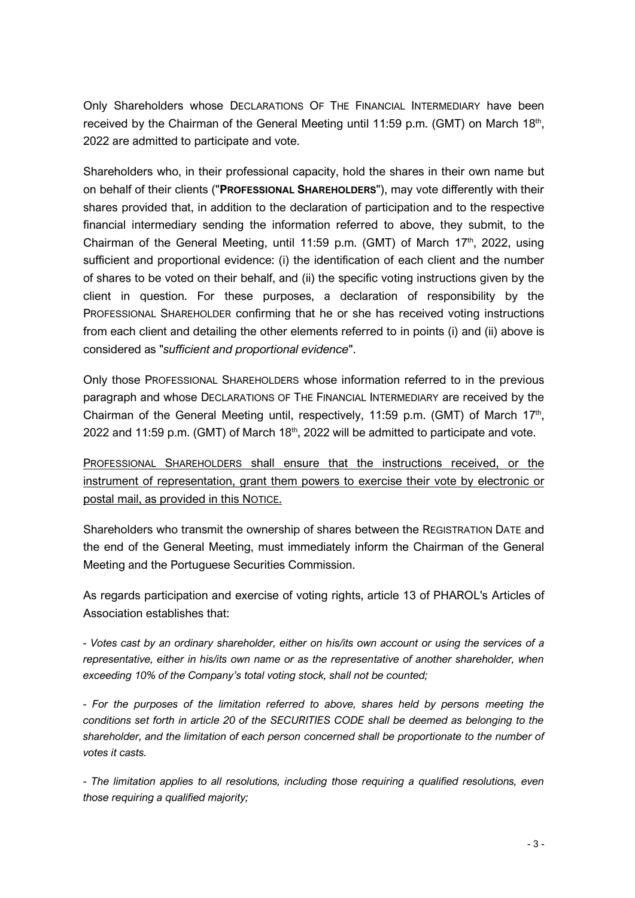Only Shareholders whose DECLARATIONS OF THE FINANCIAL INTERMEDIARY have been received by the Chairman of the General Meeting until 11:59 p.m. (GMT) on March 18<sup>th</sup>, 2022 are admitted to participate and vote.

Shareholders who, in their professional capacity, hold the shares in their own name but on behalf of their clients ("**PROFESSIONAL SHAREHOLDERS**"), may vote differently with their shares provided that, in addition to the declaration of participation and to the respective financial intermediary sending the information referred to above, they submit, to the Chairman of the General Meeting, until 11:59 p.m. (GMT) of March  $17<sup>th</sup>$ , 2022, using sufficient and proportional evidence: (i) the identification of each client and the number of shares to be voted on their behalf, and (ii) the specific voting instructions given by the client in question. For these purposes, a declaration of responsibility by the PROFESSIONAL SHAREHOLDER confirming that he or she has received voting instructions from each client and detailing the other elements referred to in points (i) and (ii) above is considered as "*sufficient and proportional evidence*".

Only those PROFESSIONAL SHAREHOLDERS whose information referred to in the previous paragraph and whose DECLARATIONS OF THE FINANCIAL INTERMEDIARY are received by the Chairman of the General Meeting until, respectively, 11:59 p.m. (GMT) of March 17<sup>th</sup>, 2022 and 11:59 p.m. (GMT) of March  $18<sup>th</sup>$ , 2022 will be admitted to participate and vote.

PROFESSIONAL SHAREHOLDERS shall ensure that the instructions received, or the instrument of representation, grant them powers to exercise their vote by electronic or postal mail, as provided in this NOTICE.

Shareholders who transmit the ownership of shares between the REGISTRATION DATE and the end of the General Meeting, must immediately inform the Chairman of the General Meeting and the Portuguese Securities Commission.

As regards participation and exercise of voting rights, article 13 of PHAROL's Articles of Association establishes that:

*- Votes cast by an ordinary shareholder, either on his/its own account or using the services of a representative, either in his/its own name or as the representative of another shareholder, when exceeding 10% of the Company's total voting stock, shall not be counted;*

*- For the purposes of the limitation referred to above, shares held by persons meeting the conditions set forth in article 20 of the SECURITIES CODE shall be deemed as belonging to the shareholder, and the limitation of each person concerned shall be proportionate to the number of votes it casts.*

*- The limitation applies to all resolutions, including those requiring a qualified resolutions, even those requiring a qualified majority;*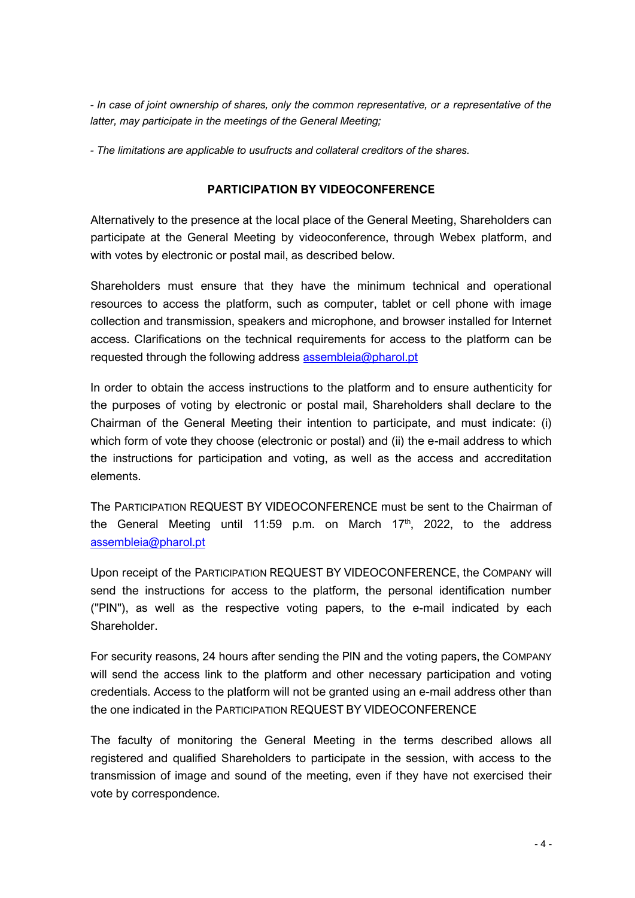*- In case of joint ownership of shares, only the common representative, or a representative of the latter, may participate in the meetings of the General Meeting;*

*- The limitations are applicable to usufructs and collateral creditors of the shares.*

#### **PARTICIPATION BY VIDEOCONFERENCE**

Alternatively to the presence at the local place of the General Meeting, Shareholders can participate at the General Meeting by videoconference, through Webex platform, and with votes by electronic or postal mail, as described below.

Shareholders must ensure that they have the minimum technical and operational resources to access the platform, such as computer, tablet or cell phone with image collection and transmission, speakers and microphone, and browser installed for Internet access. Clarifications on the technical requirements for access to the platform can be requested through the following address [assembleia@pharol.pt](mailto:assembleia@pharol.pt)

In order to obtain the access instructions to the platform and to ensure authenticity for the purposes of voting by electronic or postal mail, Shareholders shall declare to the Chairman of the General Meeting their intention to participate, and must indicate: (i) which form of vote they choose (electronic or postal) and (ii) the e-mail address to which the instructions for participation and voting, as well as the access and accreditation elements.

The PARTICIPATION REQUEST BY VIDEOCONFERENCE must be sent to the Chairman of the General Meeting until 11:59 p.m. on March 17<sup>th</sup>, 2022, to the address [assembleia@pharol.pt](mailto:assembleia@pharol.pt)

Upon receipt of the PARTICIPATION REQUEST BY VIDEOCONFERENCE, the COMPANY will send the instructions for access to the platform, the personal identification number ("PIN"), as well as the respective voting papers, to the e-mail indicated by each Shareholder.

For security reasons, 24 hours after sending the PIN and the voting papers, the COMPANY will send the access link to the platform and other necessary participation and voting credentials. Access to the platform will not be granted using an e-mail address other than the one indicated in the PARTICIPATION REQUEST BY VIDEOCONFERENCE

The faculty of monitoring the General Meeting in the terms described allows all registered and qualified Shareholders to participate in the session, with access to the transmission of image and sound of the meeting, even if they have not exercised their vote by correspondence.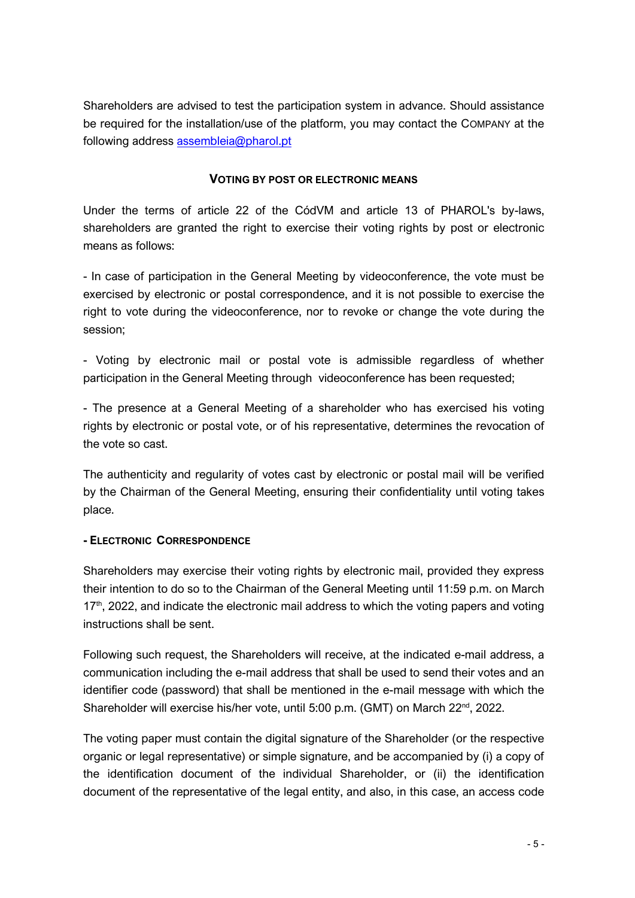Shareholders are advised to test the participation system in advance. Should assistance be required for the installation/use of the platform, you may contact the COMPANY at the following address [assembleia@pharol.pt](mailto:assembleia@pharol.pt)

#### **VOTING BY POST OR ELECTRONIC MEANS**

Under the terms of article 22 of the CódVM and article 13 of PHAROL's by-laws, shareholders are granted the right to exercise their voting rights by post or electronic means as follows:

- In case of participation in the General Meeting by videoconference, the vote must be exercised by electronic or postal correspondence, and it is not possible to exercise the right to vote during the videoconference, nor to revoke or change the vote during the session;

- Voting by electronic mail or postal vote is admissible regardless of whether participation in the General Meeting through videoconference has been requested;

- The presence at a General Meeting of a shareholder who has exercised his voting rights by electronic or postal vote, or of his representative, determines the revocation of the vote so cast.

The authenticity and regularity of votes cast by electronic or postal mail will be verified by the Chairman of the General Meeting, ensuring their confidentiality until voting takes place.

#### **- ELECTRONIC CORRESPONDENCE**

Shareholders may exercise their voting rights by electronic mail, provided they express their intention to do so to the Chairman of the General Meeting until 11:59 p.m. on March 17<sup>th</sup>, 2022, and indicate the electronic mail address to which the voting papers and voting instructions shall be sent.

Following such request, the Shareholders will receive, at the indicated e-mail address, a communication including the e-mail address that shall be used to send their votes and an identifier code (password) that shall be mentioned in the e-mail message with which the Shareholder will exercise his/her vote, until 5:00 p.m. (GMT) on March 22<sup>nd</sup>, 2022.

The voting paper must contain the digital signature of the Shareholder (or the respective organic or legal representative) or simple signature, and be accompanied by (i) a copy of the identification document of the individual Shareholder, or (ii) the identification document of the representative of the legal entity, and also, in this case, an access code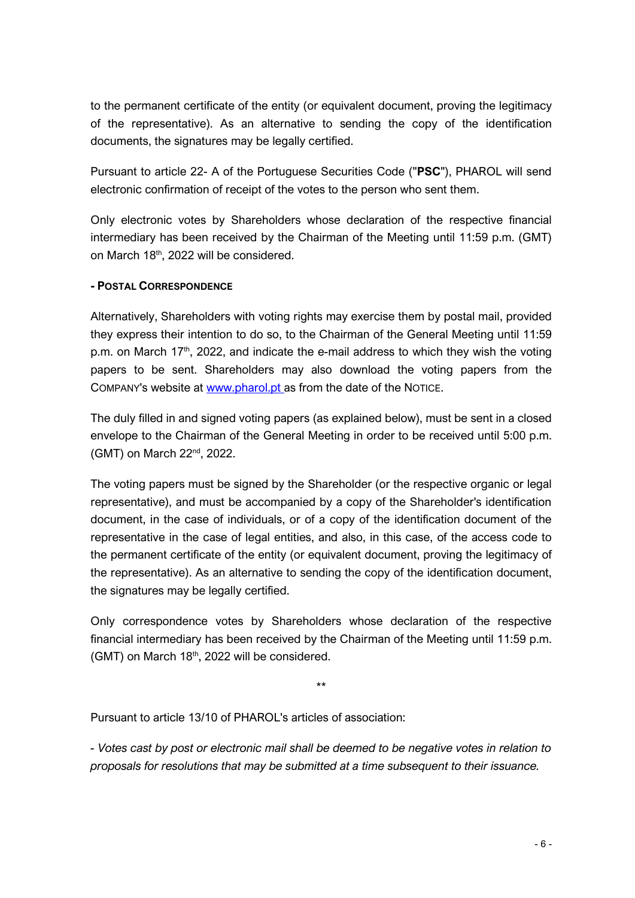to the permanent certificate of the entity (or equivalent document, proving the legitimacy of the representative). As an alternative to sending the copy of the identification documents, the signatures may be legally certified.

Pursuant to article 22- A of the Portuguese Securities Code ("**PSC**"), PHAROL will send electronic confirmation of receipt of the votes to the person who sent them.

Only electronic votes by Shareholders whose declaration of the respective financial intermediary has been received by the Chairman of the Meeting until 11:59 p.m. (GMT) on March 18<sup>th</sup>, 2022 will be considered.

#### **- POSTAL CORRESPONDENCE**

Alternatively, Shareholders with voting rights may exercise them by postal mail, provided they express their intention to do so, to the Chairman of the General Meeting until 11:59 p.m. on March 17<sup>th</sup>, 2022, and indicate the e-mail address to which they wish the voting papers to be sent. Shareholders may also download the voting papers from the COMPANY's website at [www.pharol.pt](http://www.pharol.pt/) as from the date of the NOTICE.

The duly filled in and signed voting papers (as explained below), must be sent in a closed envelope to the Chairman of the General Meeting in order to be received until 5:00 p.m. (GMT) on March 22nd, 2022.

The voting papers must be signed by the Shareholder (or the respective organic or legal representative), and must be accompanied by a copy of the Shareholder's identification document, in the case of individuals, or of a copy of the identification document of the representative in the case of legal entities, and also, in this case, of the access code to the permanent certificate of the entity (or equivalent document, proving the legitimacy of the representative). As an alternative to sending the copy of the identification document, the signatures may be legally certified.

Only correspondence votes by Shareholders whose declaration of the respective financial intermediary has been received by the Chairman of the Meeting until 11:59 p.m. (GMT) on March 18th, 2022 will be considered.

\*\*

Pursuant to article 13/10 of PHAROL's articles of association:

*- Votes cast by post or electronic mail shall be deemed to be negative votes in relation to proposals for resolutions that may be submitted at a time subsequent to their issuance.*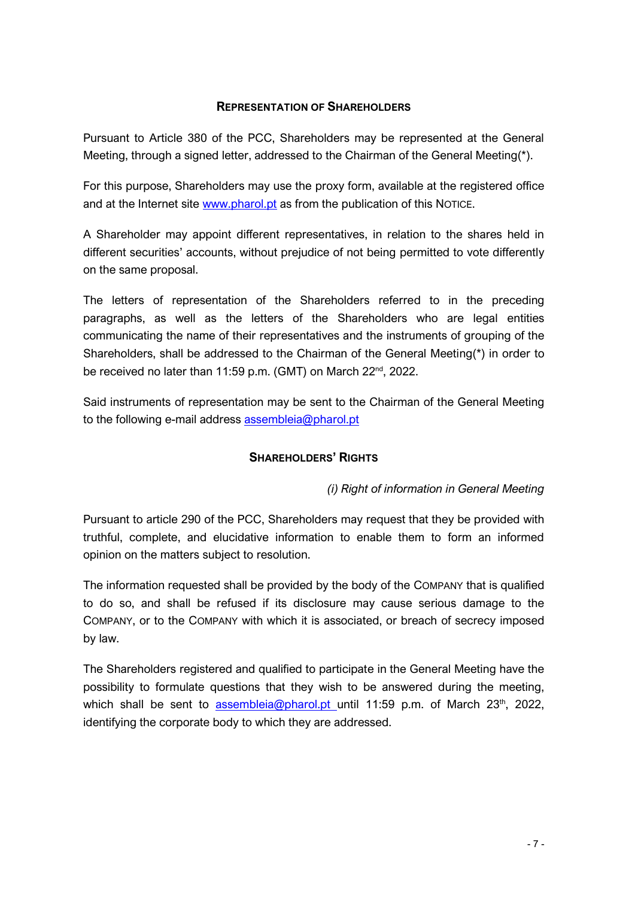#### **REPRESENTATION OF SHAREHOLDERS**

Pursuant to Article 380 of the PCC, Shareholders may be represented at the General Meeting, through a signed letter, addressed to the Chairman of the General Meeting(\*).

For this purpose, Shareholders may use the proxy form, available at the registered office and at the Internet site [www.pharol.pt](http://www.pharol.pt/) as from the publication of this NOTICE.

A Shareholder may appoint different representatives, in relation to the shares held in different securities' accounts, without prejudice of not being permitted to vote differently on the same proposal.

The letters of representation of the Shareholders referred to in the preceding paragraphs, as well as the letters of the Shareholders who are legal entities communicating the name of their representatives and the instruments of grouping of the Shareholders, shall be addressed to the Chairman of the General Meeting(\*) in order to be received no later than 11:59 p.m. (GMT) on March 22<sup>nd</sup>, 2022.

Said instruments of representation may be sent to the Chairman of the General Meeting to the following e-mail address [assembleia@pharol.pt](mailto:assembleia@pharol.pt)

#### **SHAREHOLDERS' RIGHTS**

*(i) Right of information in General Meeting*

Pursuant to article 290 of the PCC, Shareholders may request that they be provided with truthful, complete, and elucidative information to enable them to form an informed opinion on the matters subject to resolution.

The information requested shall be provided by the body of the COMPANY that is qualified to do so, and shall be refused if its disclosure may cause serious damage to the COMPANY, or to the COMPANY with which it is associated, or breach of secrecy imposed by law.

The Shareholders registered and qualified to participate in the General Meeting have the possibility to formulate questions that they wish to be answered during the meeting, which shall be sent to [assembleia@pharol.pt](mailto:assembleia@pharol.pt) until 11:59 p.m. of March  $23<sup>th</sup>$ , 2022, identifying the corporate body to which they are addressed.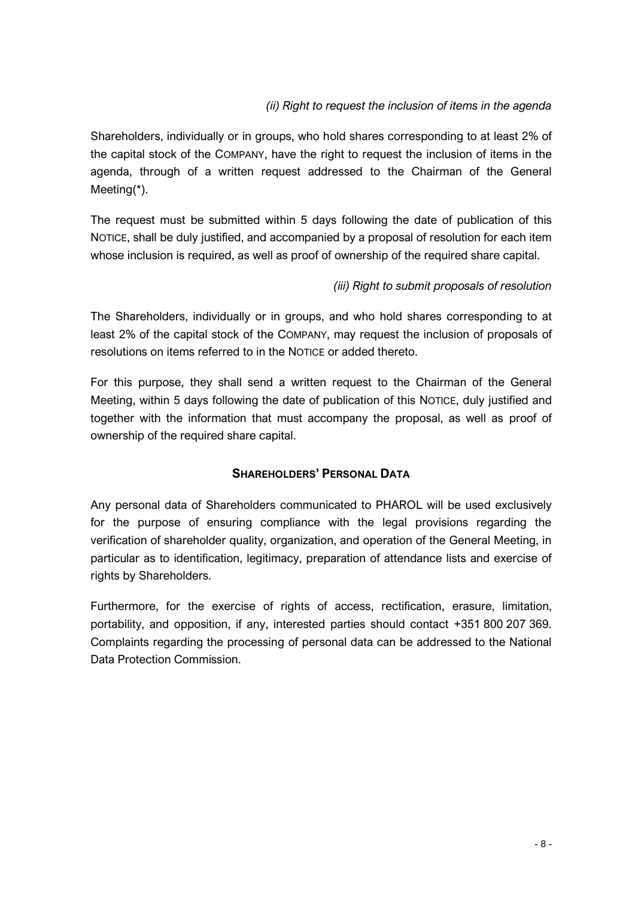#### *(ii) Right to request the inclusion of items in the agenda*

Shareholders, individually or in groups, who hold shares corresponding to at least 2% of the capital stock of the COMPANY, have the right to request the inclusion of items in the agenda, through of a written request addressed to the Chairman of the General Meeting(\*).

The request must be submitted within 5 days following the date of publication of this NOTICE, shall be duly justified, and accompanied by a proposal of resolution for each item whose inclusion is required, as well as proof of ownership of the required share capital.

#### *(iii) Right to submit proposals of resolution*

The Shareholders, individually or in groups, and who hold shares corresponding to at least 2% of the capital stock of the COMPANY, may request the inclusion of proposals of resolutions on items referred to in the NOTICE or added thereto.

For this purpose, they shall send a written request to the Chairman of the General Meeting, within 5 days following the date of publication of this NOTICE, duly justified and together with the information that must accompany the proposal, as well as proof of ownership of the required share capital.

#### **SHAREHOLDERS' PERSONAL DATA**

Any personal data of Shareholders communicated to PHAROL will be used exclusively for the purpose of ensuring compliance with the legal provisions regarding the verification of shareholder quality, organization, and operation of the General Meeting, in particular as to identification, legitimacy, preparation of attendance lists and exercise of rights by Shareholders.

Furthermore, for the exercise of rights of access, rectification, erasure, limitation, portability, and opposition, if any, interested parties should contact +351 800 207 369. Complaints regarding the processing of personal data can be addressed to the National Data Protection Commission.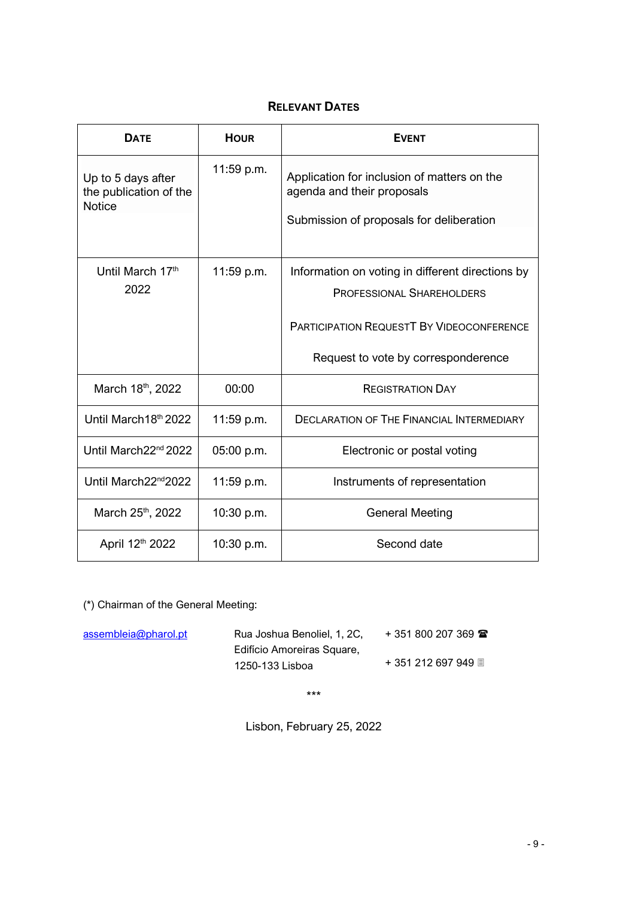### **RELEVANT DATES**

| <b>DATE</b>                                                   | <b>HOUR</b> | <b>EVENT</b>                                                                                                                                                                    |
|---------------------------------------------------------------|-------------|---------------------------------------------------------------------------------------------------------------------------------------------------------------------------------|
| Up to 5 days after<br>the publication of the<br><b>Notice</b> | 11:59 p.m.  | Application for inclusion of matters on the<br>agenda and their proposals<br>Submission of proposals for deliberation                                                           |
| Until March 17th<br>2022                                      | 11:59 p.m.  | Information on voting in different directions by<br><b>PROFESSIONAL SHAREHOLDERS</b><br><b>PARTICIPATION REQUESTT BY VIDEOCONFERENCE</b><br>Request to vote by corresponderence |
| March 18th, 2022                                              | 00:00       | <b>REGISTRATION DAY</b>                                                                                                                                                         |
|                                                               |             |                                                                                                                                                                                 |
| Until March18th 2022                                          | 11:59 p.m.  | <b>DECLARATION OF THE FINANCIAL INTERMEDIARY</b>                                                                                                                                |
| Until March22 <sup>nd</sup> 2022                              | 05:00 p.m.  | Electronic or postal voting                                                                                                                                                     |
| Until March22 <sup>nd</sup> 2022                              | 11:59 p.m.  | Instruments of representation                                                                                                                                                   |
| March 25th, 2022                                              | 10:30 p.m.  | <b>General Meeting</b>                                                                                                                                                          |
| April 12th 2022                                               | 10:30 p.m.  | Second date                                                                                                                                                                     |

(\*) Chairman of the General Meeting:

| assembleia@pharol.pt | Rua Joshua Benoliel, 1, 2C,                   | $+351800207369$     |
|----------------------|-----------------------------------------------|---------------------|
|                      | Edifício Amoreiras Square,<br>1250-133 Lisboa | + 351 212 697 949 ■ |
|                      |                                               |                     |

\*\*\*

Lisbon, February 25, 2022